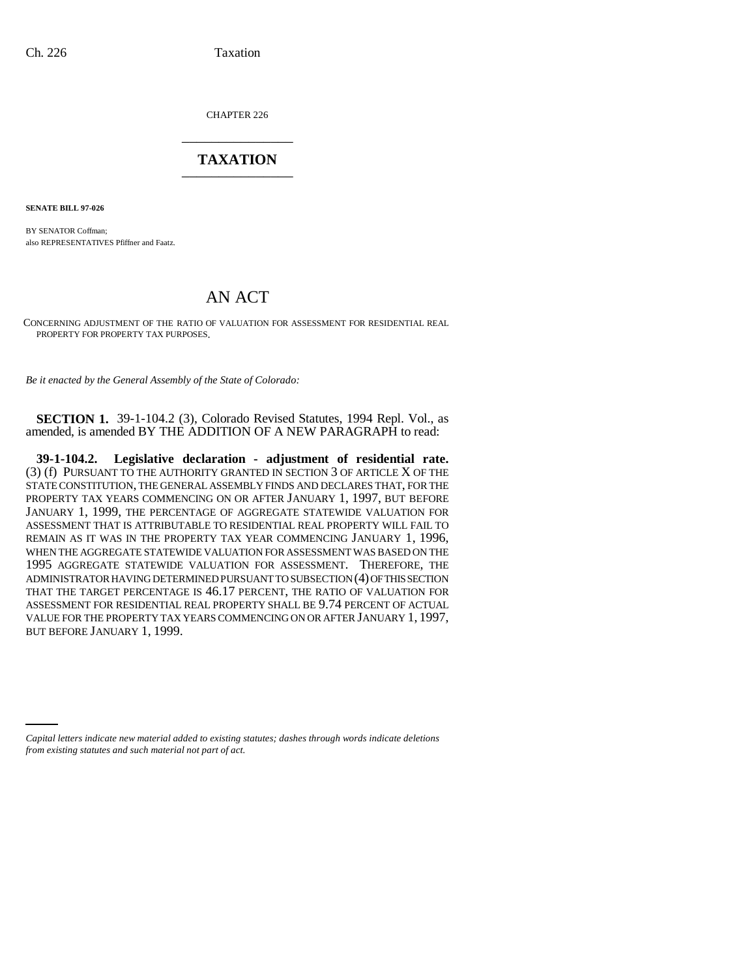CHAPTER 226 \_\_\_\_\_\_\_\_\_\_\_\_\_\_\_

## **TAXATION** \_\_\_\_\_\_\_\_\_\_\_\_\_\_\_

**SENATE BILL 97-026**

BY SENATOR Coffman; also REPRESENTATIVES Pfiffner and Faatz.

## AN ACT

CONCERNING ADJUSTMENT OF THE RATIO OF VALUATION FOR ASSESSMENT FOR RESIDENTIAL REAL PROPERTY FOR PROPERTY TAX PURPOSES.

*Be it enacted by the General Assembly of the State of Colorado:*

**SECTION 1.** 39-1-104.2 (3), Colorado Revised Statutes, 1994 Repl. Vol., as amended, is amended BY THE ADDITION OF A NEW PARAGRAPH to read:

**39-1-104.2. Legislative declaration - adjustment of residential rate.** (3) (f) PURSUANT TO THE AUTHORITY GRANTED IN SECTION 3 OF ARTICLE X OF THE STATE CONSTITUTION, THE GENERAL ASSEMBLY FINDS AND DECLARES THAT, FOR THE PROPERTY TAX YEARS COMMENCING ON OR AFTER JANUARY 1, 1997, BUT BEFORE JANUARY 1, 1999, THE PERCENTAGE OF AGGREGATE STATEWIDE VALUATION FOR ASSESSMENT THAT IS ATTRIBUTABLE TO RESIDENTIAL REAL PROPERTY WILL FAIL TO REMAIN AS IT WAS IN THE PROPERTY TAX YEAR COMMENCING JANUARY 1, 1996, WHEN THE AGGREGATE STATEWIDE VALUATION FOR ASSESSMENT WAS BASED ON THE 1995 AGGREGATE STATEWIDE VALUATION FOR ASSESSMENT. THEREFORE, THE ADMINISTRATOR HAVING DETERMINED PURSUANT TO SUBSECTION (4) OF THIS SECTION THAT THE TARGET PERCENTAGE IS 46.17 PERCENT, THE RATIO OF VALUATION FOR ASSESSMENT FOR RESIDENTIAL REAL PROPERTY SHALL BE 9.74 PERCENT OF ACTUAL VALUE FOR THE PROPERTY TAX YEARS COMMENCING ON OR AFTER JANUARY 1, 1997, BUT BEFORE JANUARY 1, 1999.

*Capital letters indicate new material added to existing statutes; dashes through words indicate deletions from existing statutes and such material not part of act.*